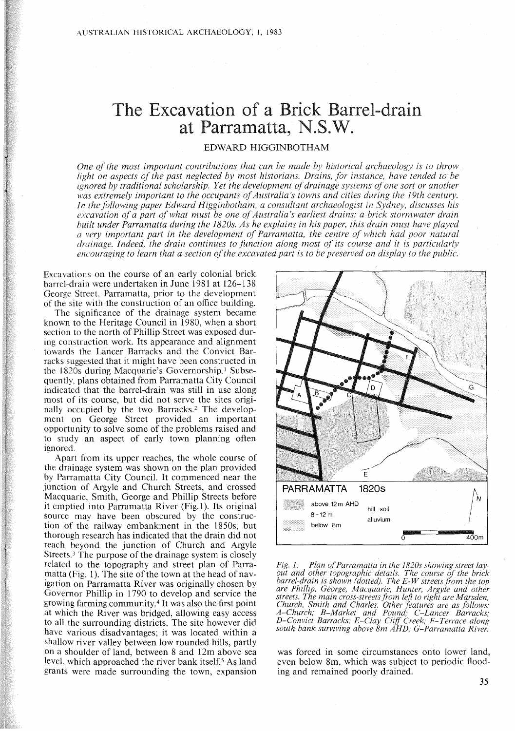## The Excavation of a Brick Barrel-drain at Parramatta, N.S.W.

## EDWARD HIGGINBOTHAM

*One ofthe most important contributions that can be made by historical archaeology* is *to throw light on aspects of the past neglected by most historians. Drains, for instance, have tended to be ignored by traditional scholarship. Yet the development ofdrainage systems ofone sort or another was extremely important to the occupants of Australia's towns and cities during the 19th century. In the following paper Edward Higginbotham, a consultant archaeologist in Sydney, discusses his excavation of a part ofwhat must be one ofAustralia's earliest drains: a brick stormwater drain built under Parramatta during the 1820s. As he explains in his paper, this drain must have played a very important part in the development of Parramatta, the centre of which had poor natural drainage. Indeed, the drain continues to function along most of its course and it is particularly encouraging to learn that a section ofthe excavated part* is *to be preserved on display to the public.*

Excavations on the course of an early colonial brick barrel-drain were undertaken in June 1981 at 126-138 George Street. Parramatta, prior to the development of the site with the construction of an office building.

The significance of the drainage system became known to the Heritage Council in 1980, when a short section to the north of Phillip Street was exposed during construction work. Its appearance and alignment towards the Lancer Barracks and the Convict Barracks suggested that it might have been constructed in the 1820s during Macquarie's Governorship.' Subsequently. plans obtained from Parramatta City Council indicated that the barrel-drain was still in use along most of its course, but did not serve the sites originally occupied by the two Barracks.<sup>2</sup> The development on George Street provided an important opportunity to solve some of the problems raised and to study an aspect of early town planning often ignored.

Apart from its upper reaches, the whole course of the drainage system was shown on the plan provided by Parramatta City Council. It commenced near the junction of Argyle and Church Streets, and crossed Macquarie, Smith, George and Phillip Streets before it emptied into Parramatta River (Fig. I). Its original source may have been obscured by the construction of the railway embankment in the 1850s, but thorough research has indicated that the drain did not reach beyond the junction of Church and Argyle Streets.' The purpose of the drainage system is closely related to the topography and street plan of Parramatta (Fig. 1). The site of the town at the head of navigation on Parramatta River was originally chosen by Governor Phillip in 1790 to develop and service the growing farming community." It was also the first point at which the River was bridged, allowing easy access to all the surrounding districts. The site however did have various disadvantages; it was located within a shallow river valley between low rounded hills, partly on a shoulder of land, between 8 and 12m above sea level, which approached the river bank itself.<sup>5</sup> As land grants were made surrounding the town, expansion



*Fig.* 1: *Plan ofParramatta in the 1820s showing street layout and other topographic details. The course of the brick barrel-drain is shown (dotted). The E- W streets from the top are Phillip, George, Macquarie, Hunter, Argyle and other streets. The main cross-streetsfrom left to right are Marsden, Church, Smith and Charles. Other features are as follows: A-Church; B-Market and Pound; C-Lancer Barracks; D-Convict Barracks; E-Clay Cliff Creek; Fi-Terrace along south bank surviving above 8m AHD; G-Parramatta River.*

was forced in some circumstances onto lower land, even below 8m, which was subject to periodic flooding and remained poorly drained.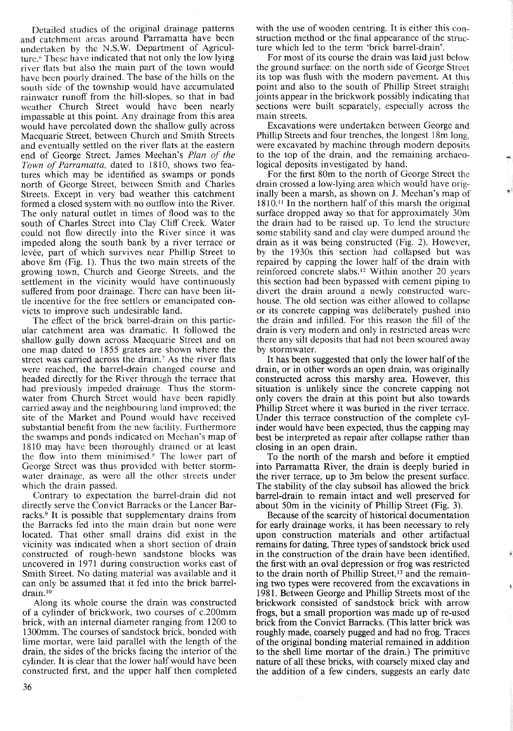Detailed studies of the original drainage patterns and catchment areas around Parramatta have been undertaken by the N.S.W. Department of Agriculture.<sup>6</sup> These have indicated that not only the low lying river flats but also the main part of the town would have been poorly drained. The base of the hills on the south side of the township would have accumulated rainwater runoff from the hill-slopes, so that in bad weather Church Street would have been nearly impassable at this point. Any drainage from this area would have percolated down the shallow gully across Macquarie Street, between Church and Smith Streets and eventually settled on the river flats at the eastern end of George Street. James Meehan's *Plan of the Town of Parramatta,* dated to 1810, shows two features which may be identified as swamps or ponds north of George Street, between Smith and Charles Streets. Except in very bad weather this catchment formed a closed system with no outflow into the River. The only natural outlet in times of flood was to the south of Charles Street into Clay Cliff Creek. Water could not flow directly into the River since it was impeded along the south bank by a river terrace or levée, part of which survives near Phillip Street to above 8m (Fig. 1). Thus the two main streets of the growing town, Church and George Streets, and the settlement in the vicinity would have continuously suffered from poor drainage. There can have been little incentive for the free settlers or emancipated convicts to improve such undesirable land.

The effect of the brick barrel-drain on this particular catchment area was dramatic. It followed the shallow gully down across Macquarie Street and on one map dated to 1855 grates are shown where the street was carried across the drain.<sup>7</sup> As the river flats were reached, the barrel-drain changed course and headed directly for the River through the terrace that had previously impeded drainage. Thus the stormwater from Church Street would have been rapidly carried away and the neighbouring land improved; the site of the Market and Pound would have received substantial benefit from the new facility. Furthermore the swamps and ponds indicated on Meehan's map of 1810 may have been thoroughly drained or at least the flow into them minimised.<sup>8</sup> The lower part of George Street was thus provided with better stormwater drainage, as were all the other streets under which the drain passed.

Contrary to expectation the barrel-drain did not directly serve the Convict Barracks or the Lancer Barracks.<sup>9</sup> It is possible that supplementary drains from the Barracks fed into the main drain but none were located. That other small drains did exist in the vicinity was indicated when a short section of drain constructed of rough-hewn sandstone blocks was uncovered in 1971 during construction works east of Smith Street. No dating material was available and it can only be assumed that it fed into the brick barreldrain. <sup>10</sup>

Along its whole course the drain was constructed of a cylinder of brickwork, two courses of c.200mm brick, with an internal diameter ranging from 1200 to 1300mm. The courses of sandstock brick, bonded with lime mortar, were laid parallel with the length of the drain, the sides of the bricks facing the interior of the cylinder. It is clear that the lower half would have been constructed first, and the upper half then completed

with the use of wooden centring. It is either this construction method or the final appearance of the structure which led to the term 'brick barrel-drain'.

For most of its course the drain was laid just below the ground surface: on the north side of George Street its top was flush with the modern pavement. At this point and also to the south of Phillip Street straight joints appear in the brickwork possibly indicating that sections were built separately, especially across the main streets.

Excavations were undertaken between George and Phillip Streets and four trenches, the longest 18m long, were excavated by machine through modern deposits to the top of the drain, and the remaining archaeological deposits investigated by hand.

For the first 80m to the north of George Street the drain crossed a low-lying area which would have originally been a marsh, as shown on J. Meehan's map of 1810.11 In the northern half of this marsh the original surface dropped away so that for approximately 30m the drain had to be raised up. To lend the structure some stability sand and clay were dumped around the drain as it was being constructed (Fig. 2). However, by the 1930s this section had collapsed but was repaired by capping the lower half of the drain with reinforced concrete slabs.<sup>12</sup> Within another 20 years this section had been bypassed with cement piping to divert the drain around a newly constructed warehouse. The old section was either allowed to collapse or its concrete capping was deliberately pushed into the drain and infilled. For this reason the fill of the drain is very modern and only in restricted areas were there any silt deposits that had not been scoured away by stormwater.

It has been suggested that only the lower half of the drain, or in other words an open drain, was originally constructed across this marshy area. However, this situation is unlikely since the concrete capping not only covers the drain at this point but also towards Phillip Street where it was buried in the river terrace. Under this terrace construction of the complete cylinder would have been expected, thus the capping may best be interpreted as repair after collapse rather than closing in an open drain.

To the north of the marsh and before it emptied into Parramatta River, the drain is deeply buried in the river terrace, up to 3m below the present surface. The stability of the clay subsoil has allowed the brick barrel-drain to remain intact and well preserved for about 50m in the vicinity of Phillip Street (Fig. 3).

Because of the scarcity of historical documentation for early drainage works, it has been necessary to rely upon construction materials and other artifactual remains for dating. Three types of sandstock brick used in the construction of the drain have been identified, the first with an oval depression or frog was restricted to the drain north of Phillip Street,<sup>13</sup> and the remaining two types were recovered from the excavations in 1981. Between George and Phillip Streets most of the brickwork consisted of sandstock brick with arrow frogs, but a small proportion was made up of re-used brick from the Convict Barracks. (This latter brick was roughly made, coarsely pugged and had no frog. Traces of the original bonding material remained in addition to the shell lime mortar of the drain.) The primitive nature of all these bricks, with coarsely mixed clay and the addition of a few cinders, suggests an early date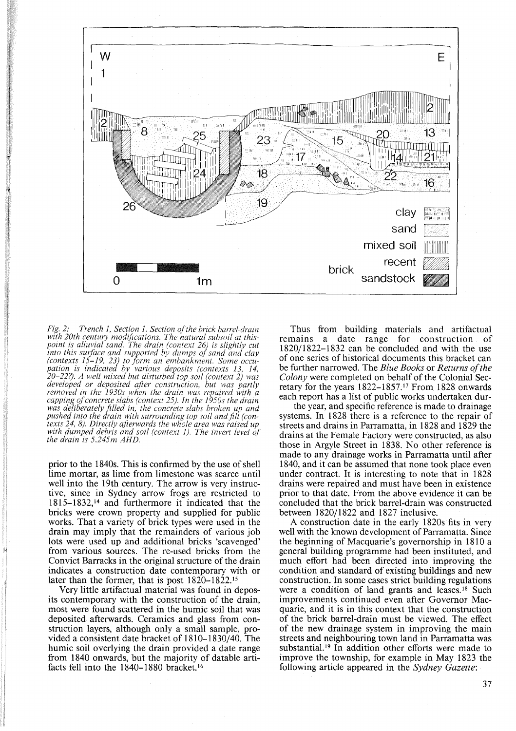

*Fig.* 2: *Trench* 1, *Section* 1. *Section ofthe brick barrel-drain with 20th century modifications. The natural subsoil at thispoint is alluvial sand. The drain (context* 26) *is slightly cut into this surface and supported by dumps ofsand and clay (contexts* 15-19, 23) *to form an embankment. Some occu- pation is indicated by various deposits (contexts* 13, 14, *20-22?). A well mixed but disturbed top soil (context* 2) *was developed or deposited after construction, but was partly removed in the 1930s when the drain was repaired with a capping of concrete slabs (context 25). In the 1950s the drain was deliberately filled in, the concrete slabs broken up and pushed into the drain with surrounding top soil and fill (contexts* 24, 8). *Directly afterwards the whole area was raised up with dumped debris and soil (context* 1). *The invert level of the drain is 5.245m AHD.*

prior to the 1840s. This is confirmed by the use of shell lime mortar, as lime from limestone was scarce until well into the 19th century. The arrow is very instructive, since in Sydney arrow frogs are restricted to 1815-1832,14 and furthermore it indicated that the bricks were crown property and supplied for public works. That a variety of brick types were used in the drain may imply that the remainders of various job lots were used up and additional bricks 'scavenged' from various sources. The re-used bricks from the Convict Barracks in the original structure of the drain indicates a construction date contemporary with or later than the former, that is post 1820-1822. 15

Very little artifactual material was found in deposits contemporary with the construction of the drain, most were found scattered in the humic soil that was deposited afterwards. Ceramics and glass from construction layers, although only a small sample, provided a consistent date bracket of 1810-1830/40. The humic soil overlying the drain provided a date range from 1840 onwards, but the majority of datable artifacts fell into the 1840-1880 bracket.<sup>16</sup>

Thus from building materials and artifactual remains a date range for construction of 1820/1822-1832 can be concluded and with the use of one series of historical documents this bracket can be further narrowed. The *Blue Books* or *Returns* of the *Colony* were completed on behalf of the Colonial Secretary for the years 1822–1857.<sup>17</sup> From 1828 onwards each report has a list of public works undertaken dur-

the year, and specific reference is made to drainage systems. In 1828 there is a reference to the repair of streets and drains in Parramatta, in 1828 and 1829 the drains at the Female Factory were constructed, as also those in Argyle Street in 1838. No other reference is made to any drainage works in Parramatta until after 1840, and it can be assumed that none took place even under contract. It is interesting to note that in 1828 drains were repaired and must have been in existence prior to that date. From the above evidence it can be concluded that the brick barrel-drain was constructed between 1820/1822 and 1827 inclusive.

A construction date in the early 1820s fits in very well with the known development of Parramatta. Since the beginning of Macquarie's governorship in 1810 a general building programme had been instituted, and much effort had been directed into improving the condition and standard of existing buildings and new construction. In some cases strict building regulations were a condition of land grants and leases.<sup>18</sup> Such improvements continued even after Governor Macquarie, and it is in this context that the construction of the brick barrel-drain must be viewed. The effect of the new drainage system in improving the main streets and neighbouring town land in Parramatta was substantial.<sup>19</sup> In addition other efforts were made to improve the township, for example in May 1823 the following article appeared in the *Sydney Gazette:*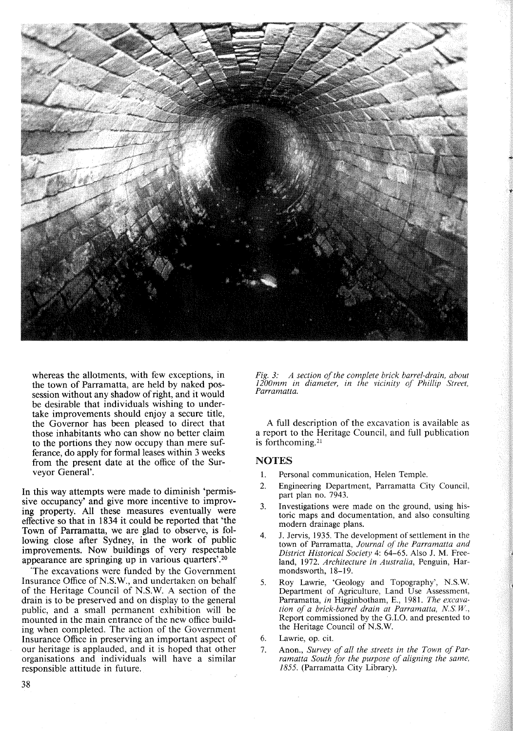

whereas the allotments, with few exceptions, in the town of Parramatta, are held by naked possession without any shadow of right, and it would be desirable that individuals wishing to undertake improvements should enjoy a secure title, the Governor has been pleased to direct that those inhabitants who can show no better claim to the portions they now occupy than mere sufferance, do apply for formal leases within 3 weeks from the present date at the office of the Surveyor General'.

In this way attempts were made to diminish 'permissive occupancy' and give more incentive to improving property. All these measures eventually were effective so that in 1834 it could be reported that 'the Town of Parramatta, we are glad to observe, is following close after Sydney, in the work of public improvements. Now buildings of very respectable appearance are springing up in various quarters'.<sup>20</sup>

'The excavations were funded by the Government Insurance Office of N.S.W., and undertaken on behalf of the Heritage Council of N.S.W. A section of the drain is to be preserved and on display to the general public, and a small permanent exhibition will be mounted in the main entrance of the new office building when completed. The action of the Government Insurance Office in preserving an important aspect of our heritage is applauded, and it is hoped that other organisations and individuals will have a similar responsible attitude in future.

*Fig.* 3: A section of the complete brick barrel-drain, about *1200mm in diameter, in the vicinity of Phillip Street, Parramatta.*

A full description of the excavation is available as a report to the Heritage Council, and full publication is forthcoming. <sup>21</sup>

## **NOTES**

- 1. Personal communication, Helen Temple.
- 2. Engineering Department, Parramatta City Council, part plan no. 7943.
- 3. Investigations were made on the ground, using historic maps and documentation, and also consulting modern drainage plans.
- J. Jervis, 1935. The development of settlement in the town of Parramatta, *Journal of the Parramatta and District Historical Society* 4: 64-65. Also J. M. Freeland, 1972. *Architecture in Australia,* Penguin, Harmondsworth, 18-19.
- 5. Roy Lawrie, 'Geology and Topography', N.S.W. Department of Agriculture, Land Use Assessment, Parramatta, *in* Higginbotham, E., 1981. *The excavation of a brick-barrel drain at Parramatta, NS. w.,* Report commissioned by the G.I.O. and presented to the Heritage Council of N.S.W.
- 6. Lawrie, op. cit.
- 7. Anon., *Survey of all the streets in the Town of Parramatta South for the purpose of aligning the same,* 1855. (Parramatta City Library).